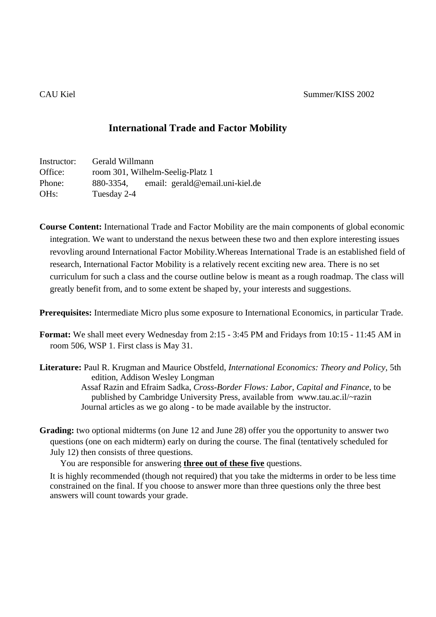## **International Trade and Factor Mobility**

| Instructor:       | Gerald Willmann                  |  |                                 |
|-------------------|----------------------------------|--|---------------------------------|
| Office:           | room 301, Wilhelm-Seelig-Platz 1 |  |                                 |
| Phone:            | 880-3354,                        |  | email: gerald@email.uni-kiel.de |
| OH <sub>s</sub> : | Tuesday 2-4                      |  |                                 |

**Course Content:** International Trade and Factor Mobility are the main components of global economic integration. We want to understand the nexus between these two and then explore interesting issues revovling around International Factor Mobility.Whereas International Trade is an established field of research, International Factor Mobility is a relatively recent exciting new area. There is no set curriculum for such a class and the course outline below is meant as a rough roadmap. The class will greatly benefit from, and to some extent be shaped by, your interests and suggestions.

**Prerequisites:** Intermediate Micro plus some exposure to International Economics, in particular Trade.

**Format:** We shall meet every Wednesday from 2:15 - 3:45 PM and Fridays from 10:15 - 11:45 AM in room 506, WSP 1. First class is May 31.

**Literature:** Paul R. Krugman and Maurice Obstfeld, *International Economics: Theory and Policy,* 5th edition, Addison Wesley Longman

Assaf Razin and Efraim Sadka, *Cross-Border Flows: Labor, Capital and Finance*, to be published by Cambridge University Press, available from www.tau.ac.il/~razin Journal articles as we go along - to be made available by the instructor.

**Grading:** two optional midterms (on June 12 and June 28) offer you the opportunity to answer two questions (one on each midterm) early on during the course. The final (tentatively scheduled for July 12) then consists of three questions.

You are responsible for answering **three out of these five** questions.

It is highly recommended (though not required) that you take the midterms in order to be less time constrained on the final. If you choose to answer more than three questions only the three best answers will count towards your grade.